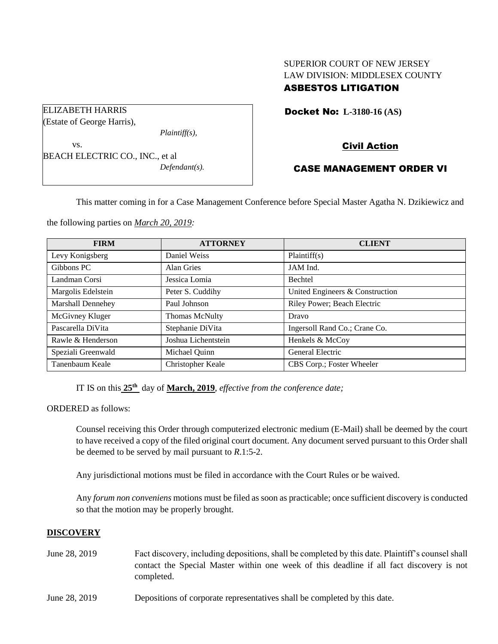# SUPERIOR COURT OF NEW JERSEY LAW DIVISION: MIDDLESEX COUNTY ASBESTOS LITIGATION

Docket No: **L-3180-16 (AS)** 

Civil Action

## CASE MANAGEMENT ORDER VI

This matter coming in for a Case Management Conference before Special Master Agatha N. Dzikiewicz and

the following parties on *March 20, 2019:*

BEACH ELECTRIC CO., INC., et al

*Plaintiff(s),*

*Defendant(s).*

ELIZABETH HARRIS (Estate of George Harris),

vs.

| <b>FIRM</b>              | <b>ATTORNEY</b>     | <b>CLIENT</b>                   |
|--------------------------|---------------------|---------------------------------|
| Levy Konigsberg          | Daniel Weiss        | Plaintiff(s)                    |
| Gibbons PC               | Alan Gries          | JAM Ind.                        |
| Landman Corsi            | Jessica Lomia       | <b>Bechtel</b>                  |
| Margolis Edelstein       | Peter S. Cuddihy    | United Engineers & Construction |
| <b>Marshall Dennehey</b> | Paul Johnson        | Riley Power; Beach Electric     |
| McGivney Kluger          | Thomas McNulty      | Dravo                           |
| Pascarella DiVita        | Stephanie DiVita    | Ingersoll Rand Co.; Crane Co.   |
| Rawle & Henderson        | Joshua Lichentstein | Henkels & McCoy                 |
| Speziali Greenwald       | Michael Quinn       | General Electric                |
| Tanenbaum Keale          | Christopher Keale   | CBS Corp.; Foster Wheeler       |

IT IS on this  $25<sup>th</sup>$  day of **March, 2019**, *effective from the conference date*;

ORDERED as follows:

Counsel receiving this Order through computerized electronic medium (E-Mail) shall be deemed by the court to have received a copy of the filed original court document. Any document served pursuant to this Order shall be deemed to be served by mail pursuant to *R*.1:5-2.

Any jurisdictional motions must be filed in accordance with the Court Rules or be waived.

Any *forum non conveniens* motions must be filed as soon as practicable; once sufficient discovery is conducted so that the motion may be properly brought.

## **DISCOVERY**

- June 28, 2019 Fact discovery, including depositions, shall be completed by this date. Plaintiff's counsel shall contact the Special Master within one week of this deadline if all fact discovery is not completed.
- June 28, 2019 Depositions of corporate representatives shall be completed by this date.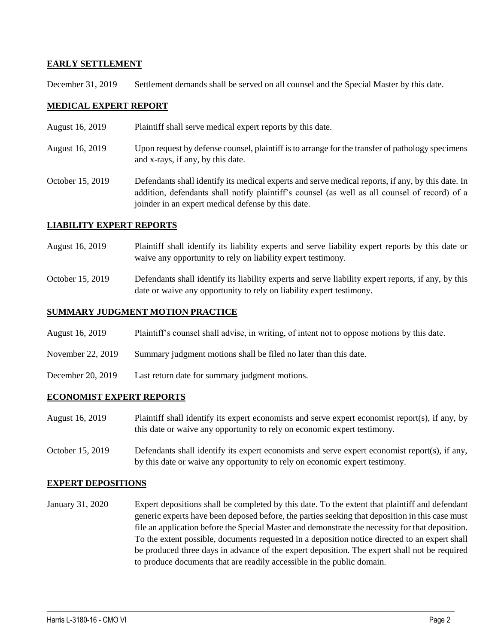### **EARLY SETTLEMENT**

December 31, 2019 Settlement demands shall be served on all counsel and the Special Master by this date.

#### **MEDICAL EXPERT REPORT**

- August 16, 2019 Plaintiff shall serve medical expert reports by this date.
- August 16, 2019 Upon request by defense counsel, plaintiff is to arrange for the transfer of pathology specimens and x-rays, if any, by this date.
- October 15, 2019 Defendants shall identify its medical experts and serve medical reports, if any, by this date. In addition, defendants shall notify plaintiff's counsel (as well as all counsel of record) of a joinder in an expert medical defense by this date.

### **LIABILITY EXPERT REPORTS**

- August 16, 2019 Plaintiff shall identify its liability experts and serve liability expert reports by this date or waive any opportunity to rely on liability expert testimony.
- October 15, 2019 Defendants shall identify its liability experts and serve liability expert reports, if any, by this date or waive any opportunity to rely on liability expert testimony.

### **SUMMARY JUDGMENT MOTION PRACTICE**

- August 16, 2019 Plaintiff's counsel shall advise, in writing, of intent not to oppose motions by this date.
- November 22, 2019 Summary judgment motions shall be filed no later than this date.
- December 20, 2019 Last return date for summary judgment motions.

#### **ECONOMIST EXPERT REPORTS**

- August 16, 2019 Plaintiff shall identify its expert economists and serve expert economist report(s), if any, by this date or waive any opportunity to rely on economic expert testimony.
- October 15, 2019 Defendants shall identify its expert economists and serve expert economist report(s), if any, by this date or waive any opportunity to rely on economic expert testimony.

#### **EXPERT DEPOSITIONS**

January 31, 2020 Expert depositions shall be completed by this date. To the extent that plaintiff and defendant generic experts have been deposed before, the parties seeking that deposition in this case must file an application before the Special Master and demonstrate the necessity for that deposition. To the extent possible, documents requested in a deposition notice directed to an expert shall be produced three days in advance of the expert deposition. The expert shall not be required to produce documents that are readily accessible in the public domain.

 $\_$  ,  $\_$  ,  $\_$  ,  $\_$  ,  $\_$  ,  $\_$  ,  $\_$  ,  $\_$  ,  $\_$  ,  $\_$  ,  $\_$  ,  $\_$  ,  $\_$  ,  $\_$  ,  $\_$  ,  $\_$  ,  $\_$  ,  $\_$  ,  $\_$  ,  $\_$  ,  $\_$  ,  $\_$  ,  $\_$  ,  $\_$  ,  $\_$  ,  $\_$  ,  $\_$  ,  $\_$  ,  $\_$  ,  $\_$  ,  $\_$  ,  $\_$  ,  $\_$  ,  $\_$  ,  $\_$  ,  $\_$  ,  $\_$  ,